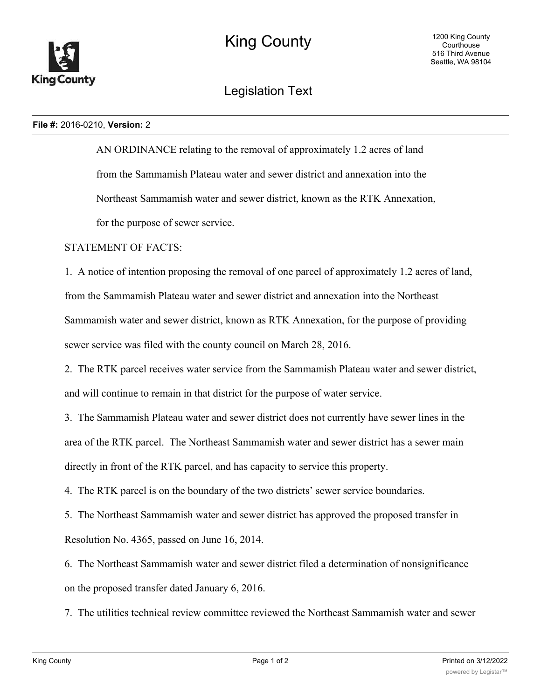

## Legislation Text

## **File #:** 2016-0210, **Version:** 2

AN ORDINANCE relating to the removal of approximately 1.2 acres of land from the Sammamish Plateau water and sewer district and annexation into the Northeast Sammamish water and sewer district, known as the RTK Annexation, for the purpose of sewer service.

STATEMENT OF FACTS:

1. A notice of intention proposing the removal of one parcel of approximately 1.2 acres of land, from the Sammamish Plateau water and sewer district and annexation into the Northeast Sammamish water and sewer district, known as RTK Annexation, for the purpose of providing sewer service was filed with the county council on March 28, 2016.

2. The RTK parcel receives water service from the Sammamish Plateau water and sewer district, and will continue to remain in that district for the purpose of water service.

3. The Sammamish Plateau water and sewer district does not currently have sewer lines in the area of the RTK parcel. The Northeast Sammamish water and sewer district has a sewer main directly in front of the RTK parcel, and has capacity to service this property.

4. The RTK parcel is on the boundary of the two districts' sewer service boundaries.

5. The Northeast Sammamish water and sewer district has approved the proposed transfer in Resolution No. 4365, passed on June 16, 2014.

6. The Northeast Sammamish water and sewer district filed a determination of nonsignificance on the proposed transfer dated January 6, 2016.

7. The utilities technical review committee reviewed the Northeast Sammamish water and sewer